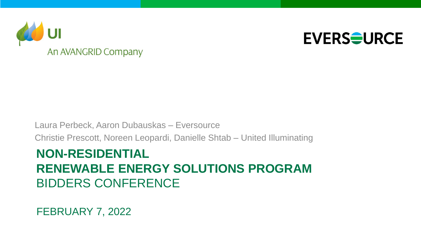



### Laura Perbeck, Aaron Dubauskas – Eversource Christie Prescott, Noreen Leopardi, Danielle Shtab – United Illuminating

### **NON-RESIDENTIAL RENEWABLE ENERGY SOLUTIONS PROGRAM** BIDDERS CONFERENCE

FEBRUARY 7, 2022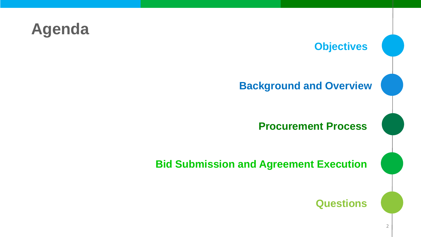## **Agenda**

### **Objectives**

### **Background and Overview**

### **Procurement Process**

**Bid Submission and Agreement Execution**

**Questions**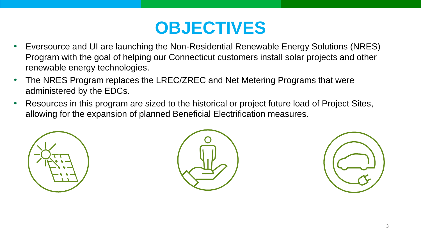## **OBJECTIVES**

- Eversource and UI are launching the Non-Residential Renewable Energy Solutions (NRES) Program with the goal of helping our Connecticut customers install solar projects and other renewable energy technologies.
- The NRES Program replaces the LREC/ZREC and Net Metering Programs that were administered by the EDCs.
- Resources in this program are sized to the historical or project future load of Project Sites, allowing for the expansion of planned Beneficial Electrification measures.





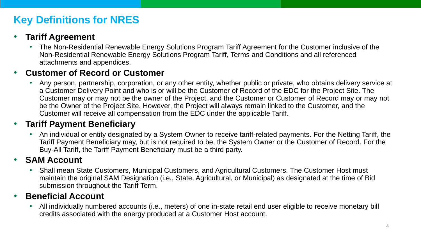### **Key Definitions for NRES**

### • **Tariff Agreement**

• The Non-Residential Renewable Energy Solutions Program Tariff Agreement for the Customer inclusive of the Non-Residential Renewable Energy Solutions Program Tariff, Terms and Conditions and all referenced attachments and appendices.

### • **Customer of Record or Customer**

• Any person, partnership, corporation, or any other entity, whether public or private, who obtains delivery service at a Customer Delivery Point and who is or will be the Customer of Record of the EDC for the Project Site. The Customer may or may not be the owner of the Project, and the Customer or Customer of Record may or may not be the Owner of the Project Site. However, the Project will always remain linked to the Customer, and the Customer will receive all compensation from the EDC under the applicable Tariff.

### • **Tariff Payment Beneficiary**

• An individual or entity designated by a System Owner to receive tariff-related payments. For the Netting Tariff, the Tariff Payment Beneficiary may, but is not required to be, the System Owner or the Customer of Record. For the Buy-All Tariff, the Tariff Payment Beneficiary must be a third party.

### • **SAM Account**

• Shall mean State Customers, Municipal Customers, and Agricultural Customers. The Customer Host must maintain the original SAM Designation (i.e., State, Agricultural, or Municipal) as designated at the time of Bid submission throughout the Tariff Term.

### • **Beneficial Account**

• All individually numbered accounts (i.e., meters) of one in-state retail end user eligible to receive monetary bill credits associated with the energy produced at a Customer Host account.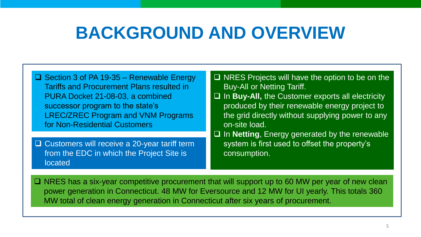## **BACKGROUND AND OVERVIEW**

- ❑ Section 3 of PA 19-35 Renewable Energy Tariffs and Procurement Plans resulted in PURA Docket 21-08-03, a combined successor program to the state's LREC/ZREC Program and VNM Programs for Non-Residential Customers
- ❑ Customers will receive a 20-year tariff term from the EDC in which the Project Site is located
- ❑ NRES Projects will have the option to be on the Buy-All or Netting Tariff.
- ❑ In **Buy-All,** the Customer exports all electricity produced by their renewable energy project to the grid directly without supplying power to any on-site load.
- ❑ In **Netting**, Energy generated by the renewable system is first used to offset the property's consumption.

❑ NRES has a six-year competitive procurement that will support up to 60 MW per year of new clean power generation in Connecticut. 48 MW for Eversource and 12 MW for UI yearly. This totals 360 MW total of clean energy generation in Connecticut after six years of procurement.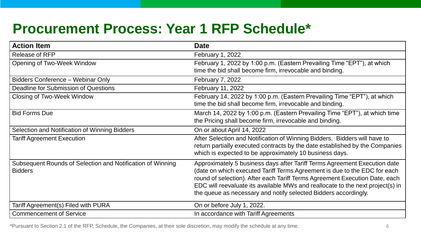### **Procurement Process: Year 1 RFP Schedule\***

| <b>Action Item</b>                                                           | <b>Date</b>                                                                                                                                                                                                                                                                                                                                                                                |
|------------------------------------------------------------------------------|--------------------------------------------------------------------------------------------------------------------------------------------------------------------------------------------------------------------------------------------------------------------------------------------------------------------------------------------------------------------------------------------|
| <b>Release of RFP</b>                                                        | <b>February 1, 2022</b>                                                                                                                                                                                                                                                                                                                                                                    |
| <b>Opening of Two-Week Window</b>                                            | February 1, 2022 by 1:00 p.m. (Eastern Prevailing Time "EPT"), at which<br>time the bid shall become firm, irrevocable and binding.                                                                                                                                                                                                                                                        |
| Bidders Conference - Webinar Only                                            | <b>February 7, 2022</b>                                                                                                                                                                                                                                                                                                                                                                    |
| Deadline for Submission of Questions                                         | February 11, 2022                                                                                                                                                                                                                                                                                                                                                                          |
| <b>Closing of Two-Week Window</b>                                            | February 14, 2022 by 1:00 p.m. (Eastern Prevailing Time "EPT"), at which<br>time the bid shall become firm, irrevocable and binding.                                                                                                                                                                                                                                                       |
| <b>Bid Forms Due</b>                                                         | March 14, 2022 by 1:00 p.m. (Eastern Prevailing Time "EPT"), at which time<br>the Pricing shall become firm, irrevocable and binding.                                                                                                                                                                                                                                                      |
| Selection and Notification of Winning Bidders                                | On or about April 14, 2022                                                                                                                                                                                                                                                                                                                                                                 |
| <b>Tariff Agreement Execution</b>                                            | After Selection and Notification of Winning Bidders. Bidders will have to<br>return partially executed contracts by the date established by the Companies<br>which is expected to be approximately 10 business days.                                                                                                                                                                       |
| Subsequent Rounds of Selection and Notification of Winning<br><b>Bidders</b> | Approximately 5 business days after Tariff Terms Agreement Execution date<br>(date on which executed Tariff Terms Agreement is due to the EDC for each<br>round of selection). After each Tariff Terms Agreement Execution Date, each<br>EDC will reevaluate its available MWs and reallocate to the next project(s) in<br>the queue as necessary and notify selected Bidders accordingly. |
| Tariff Agreement(s) Filed with PURA                                          | On or before July 1, 2022.                                                                                                                                                                                                                                                                                                                                                                 |
| <b>Commencement of Service</b>                                               | In accordance with Tariff Agreements                                                                                                                                                                                                                                                                                                                                                       |

\*Pursuant to Section 2.1 of the RFP, Schedule, the Companies, at their sole discretion, may modify the schedule at any time. 6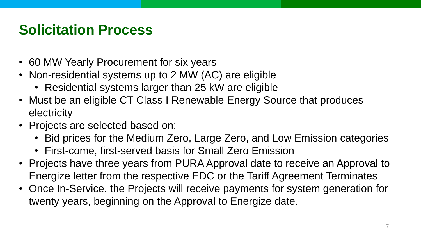### **Solicitation Process**

- 60 MW Yearly Procurement for six years
- Non-residential systems up to 2 MW (AC) are eligible
	- Residential systems larger than 25 kW are eligible
- Must be an eligible CT Class I Renewable Energy Source that produces electricity
- Projects are selected based on:
	- Bid prices for the Medium Zero, Large Zero, and Low Emission categories
	- First-come, first-served basis for Small Zero Emission
- Projects have three years from PURA Approval date to receive an Approval to Energize letter from the respective EDC or the Tariff Agreement Terminates
- Once In-Service, the Projects will receive payments for system generation for twenty years, beginning on the Approval to Energize date.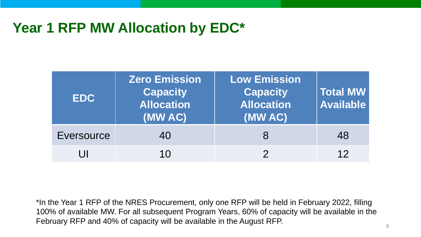### **Year 1 RFP MW Allocation by EDC\***

| <b>EDC</b> | <b>Zero Emission</b><br><b>Capacity</b><br><b>Allocation</b><br>(MW AC) | <b>Low Emission</b><br><b>Capacity</b><br><b>Allocation</b><br>(MW AC) | Total MW<br><b>Available</b> |
|------------|-------------------------------------------------------------------------|------------------------------------------------------------------------|------------------------------|
| Eversource | 40                                                                      |                                                                        | 48                           |
|            | 10                                                                      |                                                                        | 12                           |

\*In the Year 1 RFP of the NRES Procurement, only one RFP will be held in February 2022, filling 100% of available MW. For all subsequent Program Years, 60% of capacity will be available in the February RFP and 40% of capacity will be available in the August RFP.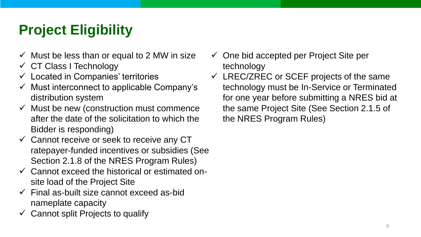## **Project Eligibility**

- $\checkmark$  Must be less than or equal to 2 MW in size
- ✓ CT Class I Technology
- $\checkmark$  Located in Companies' territories
- $\checkmark$  Must interconnect to applicable Company's distribution system
- $\checkmark$  Must be new (construction must commence after the date of the solicitation to which the Bidder is responding)
- $\checkmark$  Cannot receive or seek to receive any CT ratepayer-funded incentives or subsidies (See Section 2.1.8 of the NRES Program Rules)
- $\checkmark$  Cannot exceed the historical or estimated onsite load of the Project Site
- $\checkmark$  Final as-built size cannot exceed as-bid nameplate capacity
- $\checkmark$  Cannot split Projects to qualify
- $\checkmark$  One bid accepted per Project Site per technology
- $\checkmark$  LREC/ZREC or SCEF projects of the same technology must be In-Service or Terminated for one year before submitting a NRES bid at the same Project Site (See Section 2.1.5 of the NRES Program Rules)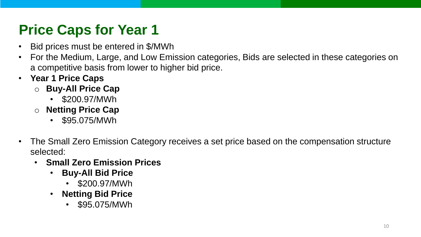## **Price Caps for Year 1**

- Bid prices must be entered in \$/MWh
- For the Medium, Large, and Low Emission categories, Bids are selected in these categories on a competitive basis from lower to higher bid price.
- **Year 1 Price Caps**
	- o **Buy-All Price Cap**
		- \$200.97/MWh
	- o **Netting Price Cap**
		- \$95.075/MWh
- The Small Zero Emission Category receives a set price based on the compensation structure selected:
	- **Small Zero Emission Prices**
		- **Buy-All Bid Price**
			- \$200.97/MWh
		- **Netting Bid Price**
			- \$95.075/MWh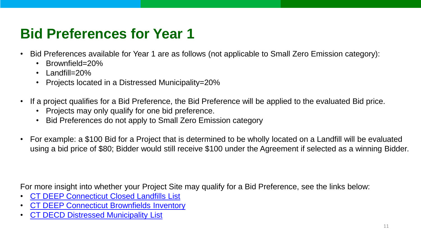## **Bid Preferences for Year 1**

- Bid Preferences available for Year 1 are as follows (not applicable to Small Zero Emission category):
	- Brownfield=20%
	- Landfill=20%
	- Projects located in a Distressed Municipality=20%
- If a project qualifies for a Bid Preference, the Bid Preference will be applied to the evaluated Bid price.
	- Projects may only qualify for one bid preference.
	- Bid Preferences do not apply to Small Zero Emission category
- For example: a \$100 Bid for a Project that is determined to be wholly located on a Landfill will be evaluated using a bid price of \$80; Bidder would still receive \$100 under the Agreement if selected as a winning Bidder.

For more insight into whether your Project Site may qualify for a Bid Preference, see the links below:

- [CT DEEP Connecticut Closed Landfills List](https://portal.ct.gov/-/media/DEEP/site_clean_up/Brownfields/closedlandfillslistpdf.pdf)
- [CT DEEP Connecticut Brownfields Inventory](https://portal.ct.gov/DEEP/Remediation--Site-Clean-Up/Brownfields/Brownfields-Site-Inventory/)
- [CT DECD Distressed Municipality List](https://portal.ct.gov/DECD/Content/About_DECD/Research-and-Publications/02_Review_Publications/Distressed-Municipalities)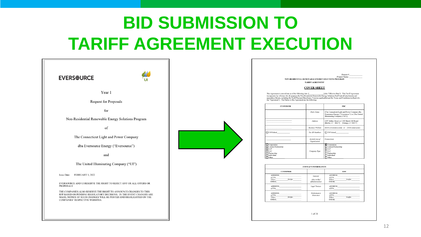## **BID SUBMISSION TO TARIFF AGREEMENT EXECUTION**

| <b>EVERSOURCE</b>                                                                                                                                                                                                                                       |  |  |
|---------------------------------------------------------------------------------------------------------------------------------------------------------------------------------------------------------------------------------------------------------|--|--|
| Year 1                                                                                                                                                                                                                                                  |  |  |
| Request for Proposals                                                                                                                                                                                                                                   |  |  |
| for                                                                                                                                                                                                                                                     |  |  |
| Non-Residential Renewable Energy Solutions Program                                                                                                                                                                                                      |  |  |
| of                                                                                                                                                                                                                                                      |  |  |
| The Connecticut Light and Power Company                                                                                                                                                                                                                 |  |  |
| dba Eversource Energy ("Eversource")                                                                                                                                                                                                                    |  |  |
| and                                                                                                                                                                                                                                                     |  |  |
| The United Illuminating Company ("UI")                                                                                                                                                                                                                  |  |  |
| <b>Issue Date:</b><br>FEBRUARY 1, 2022                                                                                                                                                                                                                  |  |  |
| EVERSOURCE AND UI RESERVE THE RIGHT TO REJECT ANY OR ALL OFFERS OR<br><b>PROPOSALS</b>                                                                                                                                                                  |  |  |
| THE COMPANIES ALSO RESERVE THE RIGHT TO ANNOUNCE CHANGES TO THIS<br>RFP BASED ON PENDING REGULATORY DECISIONS. IN THE EVENT CHANGES ARE<br>MADE, NOTICE OF SUCH CHANGES WILL BE POSTED AND HIGHLIGHTED ON THE<br><b>COMPANIES' RESPECTIVE WEBSITES.</b> |  |  |

Project # Project Name:

NON-RESIDENTIAL RENEWABLE ENERGY SOLUTIONS PROGRAM TARIFF AGREEMENT

### **COVER SHEET**

entered into as of the following date: I 1 (the "Effective Date"). This Tariff Agreement eneced and as of the following date. [100] (the accessor of the primary state is the primary specifical including the Tariff Payment Beneficiary Form (as applicable) and the Terms and Conditions (collectively, The Parties to this Agreement are the following:

| <b>CUSTOMER</b>                                                                                   |                                 | <b>EDC</b>                                                                                                                       |  |  |
|---------------------------------------------------------------------------------------------------|---------------------------------|----------------------------------------------------------------------------------------------------------------------------------|--|--|
|                                                                                                   | Party Name                      | [The Connecticut Light and Power Company dba<br>Eversource Energy ("Eversource")] or [The United<br>Illuminating Company ("UI")] |  |  |
|                                                                                                   | Address                         | [107 Selden Street] or [180 Marsh Hill Road]<br>[Berlin, CT 06037] [Orange, CT 06477]                                            |  |  |
|                                                                                                   | <b>Business Website</b>         | [www.eversource.com] or [www.uinet.com]                                                                                          |  |  |
| $\Box$ US Federal                                                                                 | Tax ID Numbers                  | $\Box$ US Federal                                                                                                                |  |  |
|                                                                                                   | Jurisdiction of<br>Organization | Connecticut                                                                                                                      |  |  |
| Corporation<br>Limited Partnership<br><b>ILLP</b><br>⊓llc<br>Partnership<br>Individual<br>1 Other | Company Type                    | <b>X</b> Corporation<br>Limited Partnership<br><b>TLLP</b><br>7 llc<br>Partnership<br>Individual<br>Other                        |  |  |

| <b>CONTACT INFORMATION</b>                                                                                                                                                                                                                                                                             |                                            |                                                                                                                                                                                                                                                                                      |  |
|--------------------------------------------------------------------------------------------------------------------------------------------------------------------------------------------------------------------------------------------------------------------------------------------------------|--------------------------------------------|--------------------------------------------------------------------------------------------------------------------------------------------------------------------------------------------------------------------------------------------------------------------------------------|--|
| <b>CUSTOMER</b>                                                                                                                                                                                                                                                                                        |                                            | <b>EDC</b>                                                                                                                                                                                                                                                                           |  |
| <b>ADDRESS</b><br><b>ATTN</b><br>and the control of the control of the control of the control of the control of the control of the control of the control of the control of the control of the control of the control of the control of the control of the cont<br>TEL#: FAX#:<br>EMAIL <b>EXAMPLE</b> | General<br>(day to day/<br>administrative) | ADDRESS AND AND AN ANNUAL AND ALL AND ANNUAL AND ANNUAL AND ANNUAL AND ALL AND ANNUAL AND ANNUAL AND ANNUAL AND ANNUAL AND ANNUAL AND ANNUAL AND ANNUAL AND ANNUAL AND ANNUAL AND ANNUAL AND ANNUAL AND ANNUAL AND ANNUAL AND<br>ATTN PARTIES<br>TEL#: FAX#:<br>EMAIL <b>EXAMPLE</b> |  |
| <b>ADDRESS</b><br>ATTN <b>ATTN</b>                                                                                                                                                                                                                                                                     | <b>Legal Notices</b>                       | <b>ADDRESS</b><br>ATTN <b>ATTN</b>                                                                                                                                                                                                                                                   |  |
| ADDRESS AND ARREST AND A STRUCK AND A STRUCK AND A STRUCK AND A STRUCK AND A STRUCK AND A STRUCK AND A STRUCK<br><b>ATTN</b><br>FAX#:<br>TEL#: TEL#:<br>EMAIL                                                                                                                                          | Performance<br>Assurance                   | ADDRESS AND AND ANNUAL AND ARREST AND A STRUCK AND A STRUCK AND A STRUCK AND A STRUCK AND A STRUCK AND A STRUCK AND A STRUCK AND A STRUCK AND A STRUCK AND A STRUCK AND A STRUCK AND A STRUCK AND A STRUCK AND A STRUCK AND A<br><b>ATTN</b><br>FAX#:<br>TEL#:<br><b>EMAIL</b>       |  |

1 of 31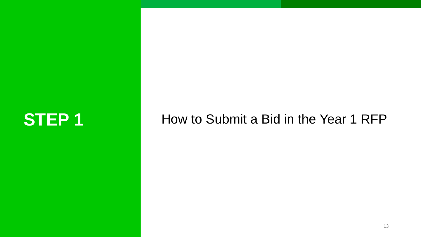## **STEP 1** How to Submit a Bid in the Year 1 RFP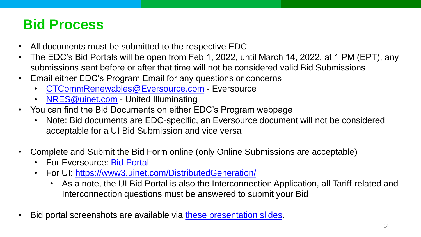### **Bid Process**

- All documents must be submitted to the respective EDC
- The EDC's Bid Portals will be open from Feb 1, 2022, until March 14, 2022, at 1 PM (EPT), any submissions sent before or after that time will not be considered valid Bid Submissions
- Email either EDC's Program Email for any questions or concerns
	- [CTCommRenewables@Eversource.com](mailto:CTCommRenewables@Eversource.com) Eversource
	- [NRES@uinet.com](mailto:NRES@uinet.com) United Illuminating
- You can find the Bid Documents on either EDC's Program webpage
	- Note: Bid documents are EDC-specific, an Eversource document will not be considered acceptable for a UI Bid Submission and vice versa
- Complete and Submit the Bid Form online (only Online Submissions are acceptable)
	- For Eversource: [Bid Portal](https://www.eversource.com/security/account/Login?ReturnUrl=/clp/recbid)
	- For UI: <https://www3.uinet.com/DistributedGeneration/>
		- As a note, the UI Bid Portal is also the Interconnection Application, all Tariff-related and Interconnection questions must be answered to submit your Bid
- Bid portal screenshots are available via [these presentation slides.](https://www.eversource.com/content/docs/default-source/save-money-energy/nres-bid-portal-walkthrough.pdf?sfvrsn=68668162_2)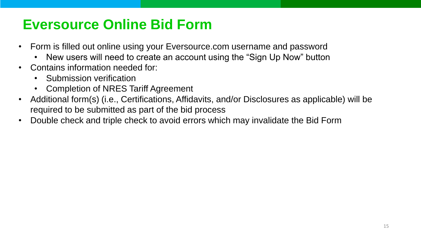### **Eversource Online Bid Form**

- Form is filled out online using your Eversource.com username and password
	- New users will need to create an account using the "Sign Up Now" button
- Contains information needed for:
	- Submission verification
	- Completion of NRES Tariff Agreement
- Additional form(s) (i.e., Certifications, Affidavits, and/or Disclosures as applicable) will be required to be submitted as part of the bid process
- Double check and triple check to avoid errors which may invalidate the Bid Form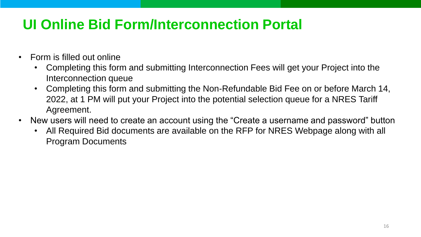## **UI Online Bid Form/Interconnection Portal**

- Form is filled out online
	- Completing this form and submitting Interconnection Fees will get your Project into the Interconnection queue
	- Completing this form and submitting the Non-Refundable Bid Fee on or before March 14, 2022, at 1 PM will put your Project into the potential selection queue for a NRES Tariff Agreement.
- New users will need to create an account using the "Create a username and password" button
	- All Required Bid documents are available on the RFP for NRES Webpage along with all Program Documents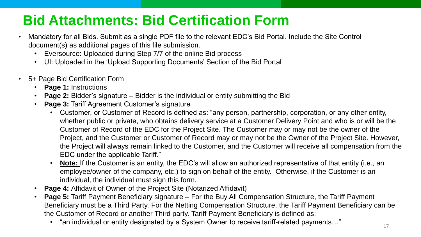## **Bid Attachments: Bid Certification Form**

- Mandatory for all Bids. Submit as a single PDF file to the relevant EDC's Bid Portal. Include the Site Control document(s) as additional pages of this file submission.
	- Eversource: Uploaded during Step 7/7 of the online Bid process
	- UI: Uploaded in the 'Upload Supporting Documents' Section of the Bid Portal
- 5+ Page Bid Certification Form
	- **Page 1:** Instructions
	- **Page 2:** Bidder's signature Bidder is the individual or entity submitting the Bid
	- **Page 3: Tariff Agreement Customer's signature** 
		- Customer, or Customer of Record is defined as: "any person, partnership, corporation, or any other entity, whether public or private, who obtains delivery service at a Customer Delivery Point and who is or will be the Customer of Record of the EDC for the Project Site. The Customer may or may not be the owner of the Project, and the Customer or Customer of Record may or may not be the Owner of the Project Site. However, the Project will always remain linked to the Customer, and the Customer will receive all compensation from the EDC under the applicable Tariff."
		- **Note:** If the Customer is an entity, the EDC's will allow an authorized representative of that entity (i.e., an employee/owner of the company, etc.) to sign on behalf of the entity. Otherwise, if the Customer is an individual, the individual must sign this form.
	- **Page 4:** Affidavit of Owner of the Project Site (Notarized Affidavit)
	- **Page 5:** Tariff Payment Beneficiary signature For the Buy All Compensation Structure, the Tariff Payment Beneficiary must be a Third Party. For the Netting Compensation Structure, the Tariff Payment Beneficiary can be the Customer of Record or another Third party. Tariff Payment Beneficiary is defined as:
		- "an individual or entity designated by a System Owner to receive tariff-related payments…"  $17\over {\ }17$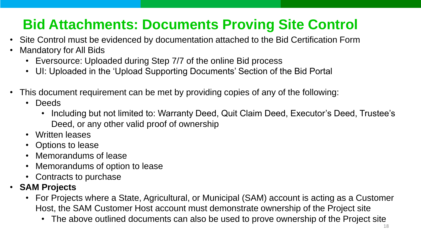## **Bid Attachments: Documents Proving Site Control**

- Site Control must be evidenced by documentation attached to the Bid Certification Form
- Mandatory for All Bids
	- Eversource: Uploaded during Step 7/7 of the online Bid process
	- UI: Uploaded in the 'Upload Supporting Documents' Section of the Bid Portal
- This document requirement can be met by providing copies of any of the following:
	- Deeds
		- Including but not limited to: Warranty Deed, Quit Claim Deed, Executor's Deed, Trustee's Deed, or any other valid proof of ownership
	- Written leases
	- Options to lease
	- Memorandums of lease
	- Memorandums of option to lease
	- Contracts to purchase
- **SAM Projects**
	- For Projects where a State, Agricultural, or Municipal (SAM) account is acting as a Customer Host, the SAM Customer Host account must demonstrate ownership of the Project site
		- The above outlined documents can also be used to prove ownership of the Project site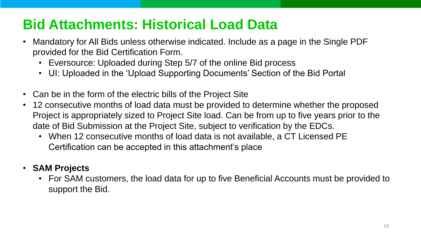## **Bid Attachments: Historical Load Data**

- Mandatory for All Bids unless otherwise indicated. Include as a page in the Single PDF provided for the Bid Certification Form.
	- Eversource: Uploaded during Step 5/7 of the online Bid process
	- UI: Uploaded in the 'Upload Supporting Documents' Section of the Bid Portal
- Can be in the form of the electric bills of the Project Site
- 12 consecutive months of load data must be provided to determine whether the proposed Project is appropriately sized to Project Site load. Can be from up to five years prior to the date of Bid Submission at the Project Site, subject to verification by the EDCs.
	- When 12 consecutive months of load data is not available, a CT Licensed PE Certification can be accepted in this attachment's place

### • **SAM Projects**

• For SAM customers, the load data for up to five Beneficial Accounts must be provided to support the Bid.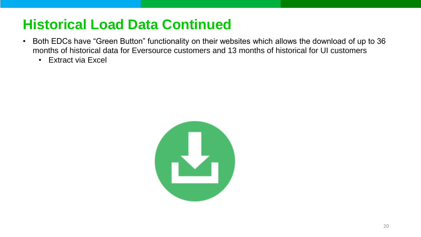### **Historical Load Data Continued**

- Both EDCs have "Green Button" functionality on their websites which allows the download of up to 36 months of historical data for Eversource customers and 13 months of historical for UI customers
	- Extract via Excel

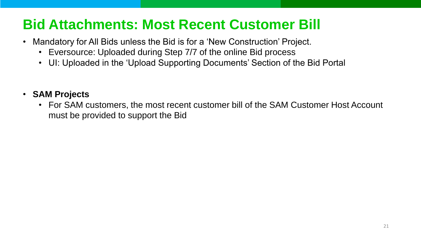### **Bid Attachments: Most Recent Customer Bill**

- Mandatory for All Bids unless the Bid is for a 'New Construction' Project.
	- Eversource: Uploaded during Step 7/7 of the online Bid process
	- UI: Uploaded in the 'Upload Supporting Documents' Section of the Bid Portal

### • **SAM Projects**

• For SAM customers, the most recent customer bill of the SAM Customer Host Account must be provided to support the Bid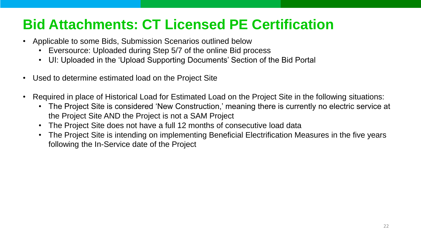## **Bid Attachments: CT Licensed PE Certification**

- Applicable to some Bids, Submission Scenarios outlined below
	- Eversource: Uploaded during Step 5/7 of the online Bid process
	- UI: Uploaded in the 'Upload Supporting Documents' Section of the Bid Portal
- Used to determine estimated load on the Project Site
- Required in place of Historical Load for Estimated Load on the Project Site in the following situations:
	- The Project Site is considered 'New Construction,' meaning there is currently no electric service at the Project Site AND the Project is not a SAM Project
	- The Project Site does not have a full 12 months of consecutive load data
	- The Project Site is intending on implementing Beneficial Electrification Measures in the five years following the In-Service date of the Project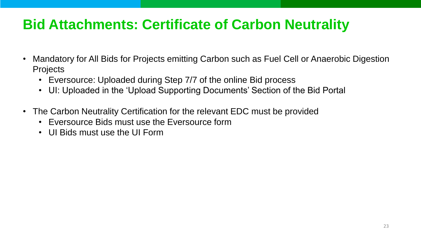## **Bid Attachments: Certificate of Carbon Neutrality**

- Mandatory for All Bids for Projects emitting Carbon such as Fuel Cell or Anaerobic Digestion **Projects** 
	- Eversource: Uploaded during Step 7/7 of the online Bid process
	- UI: Uploaded in the 'Upload Supporting Documents' Section of the Bid Portal
- The Carbon Neutrality Certification for the relevant EDC must be provided
	- Eversource Bids must use the Eversource form
	- UI Bids must use the UI Form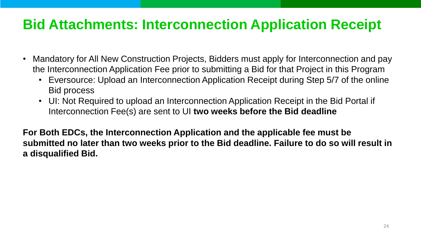### **Bid Attachments: Interconnection Application Receipt**

- Mandatory for All New Construction Projects, Bidders must apply for Interconnection and pay the Interconnection Application Fee prior to submitting a Bid for that Project in this Program
	- Eversource: Upload an Interconnection Application Receipt during Step 5/7 of the online Bid process
	- UI: Not Required to upload an Interconnection Application Receipt in the Bid Portal if Interconnection Fee(s) are sent to UI **two weeks before the Bid deadline**

**For Both EDCs, the Interconnection Application and the applicable fee must be submitted no later than two weeks prior to the Bid deadline. Failure to do so will result in a disqualified Bid.**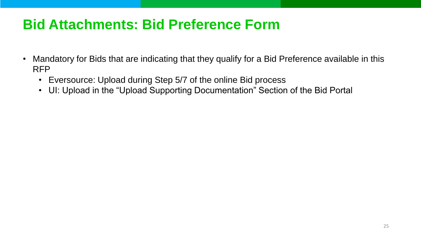### **Bid Attachments: Bid Preference Form**

- Mandatory for Bids that are indicating that they qualify for a Bid Preference available in this RFP
	- Eversource: Upload during Step 5/7 of the online Bid process
	- UI: Upload in the "Upload Supporting Documentation" Section of the Bid Portal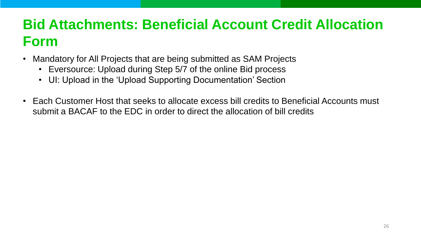## **Bid Attachments: Beneficial Account Credit Allocation Form**

- Mandatory for All Projects that are being submitted as SAM Projects
	- Eversource: Upload during Step 5/7 of the online Bid process
	- UI: Upload in the 'Upload Supporting Documentation' Section
- Each Customer Host that seeks to allocate excess bill credits to Beneficial Accounts must submit a BACAF to the EDC in order to direct the allocation of bill credits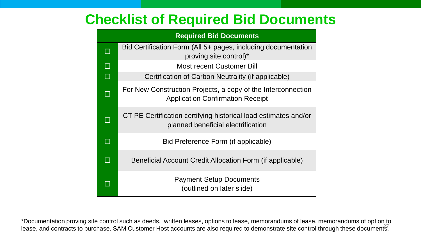### **Checklist of Required Bid Documents**

| <b>Required Bid Documents</b> |                                                                                                         |  |  |  |
|-------------------------------|---------------------------------------------------------------------------------------------------------|--|--|--|
|                               | Bid Certification Form (All 5+ pages, including documentation<br>proving site control)*                 |  |  |  |
| $\Box$                        | <b>Most recent Customer Bill</b>                                                                        |  |  |  |
| $\Box$                        | Certification of Carbon Neutrality (if applicable)                                                      |  |  |  |
|                               | For New Construction Projects, a copy of the Interconnection<br><b>Application Confirmation Receipt</b> |  |  |  |
|                               | CT PE Certification certifying historical load estimates and/or<br>planned beneficial electrification   |  |  |  |
|                               | Bid Preference Form (if applicable)                                                                     |  |  |  |
|                               | Beneficial Account Credit Allocation Form (if applicable)                                               |  |  |  |
|                               | <b>Payment Setup Documents</b><br>(outlined on later slide)                                             |  |  |  |

\*Documentation proving site control such as deeds, written leases, options to lease, memorandums of lease, memorandums of option to lease, and contracts to purchase. SAM Customer Host accounts are also required to demonstrate site control through these documents.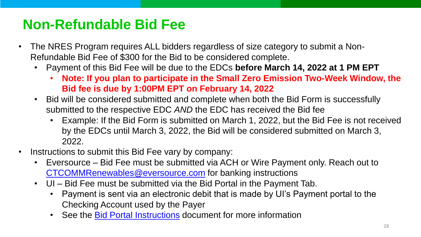## **Non-Refundable Bid Fee**

- The NRES Program requires ALL bidders regardless of size category to submit a Non-Refundable Bid Fee of \$300 for the Bid to be considered complete.
	- Payment of this Bid Fee will be due to the EDCs **before March 14, 2022 at 1 PM EPT**
		- **Note: If you plan to participate in the Small Zero Emission Two-Week Window, the Bid fee is due by 1:00PM EPT on February 14, 2022**
	- Bid will be considered submitted and complete when both the Bid Form is successfully submitted to the respective EDC *AND* the EDC has received the Bid fee
		- Example: If the Bid Form is submitted on March 1, 2022, but the Bid Fee is not received by the EDCs until March 3, 2022, the Bid will be considered submitted on March 3, 2022.
- Instructions to submit this Bid Fee vary by company:
	- Eversource Bid Fee must be submitted via ACH or Wire Payment only. Reach out to [CTCOMMRenewables@eversource.com](mailto:CTCOMMRenewables@eversource.com) for banking instructions
	- UI Bid Fee must be submitted via the Bid Portal in the Payment Tab.
		- Payment is sent via an electronic debit that is made by UI's Payment portal to the Checking Account used by the Payer
		- See the **[Bid Portal Instructions](https://www.uinet.com/wps/wcm/connect/www.uinet.com-7188/11423e30-003f-4454-a768-b499beb0e350/UI+Bid+Portal+Instructions.pdf?MOD=AJPERES&CACHEID=ROOTWORKSPACE.Z18_J092I2G0N01BF0A7QAR8BK20A3-11423e30-003f-4454-a768-b499beb0e350-nWNeJRn)** document for more information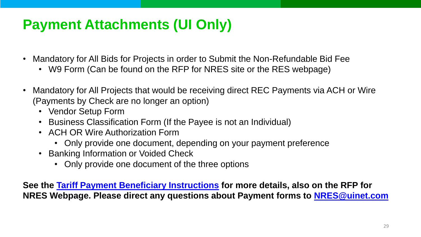## **Payment Attachments (UI Only)**

- Mandatory for All Bids for Projects in order to Submit the Non-Refundable Bid Fee
	- W9 Form (Can be found on the RFP for NRES site or the RES webpage)
- Mandatory for All Projects that would be receiving direct REC Payments via ACH or Wire (Payments by Check are no longer an option)
	- Vendor Setup Form
	- Business Classification Form (If the Payee is not an Individual)
	- ACH OR Wire Authorization Form
		- Only provide one document, depending on your payment preference
	- Banking Information or Voided Check
		- Only provide one document of the three options

**See the [Tariff Payment Beneficiary Instructions](https://www.uinet.com/wps/wcm/connect/www.uinet.com-7188/113fdbbc-abe9-4b78-87de-db2026e2a626/Tariff+Payment+Beneficiary+Instructions.pdf?MOD=AJPERES&CACHEID=ROOTWORKSPACE.Z18_J092I2G0N01BF0A7QAR8BK20A3-113fdbbc-abe9-4b78-87de-db2026e2a626-nWSplxh) for more details, also on the RFP for NRES Webpage. Please direct any questions about Payment forms to [NRES@uinet.com](mailto:NRES@uinet.com)**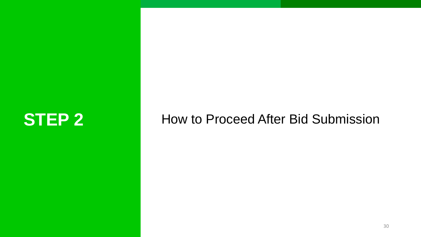## **STEP 2** How to Proceed After Bid Submission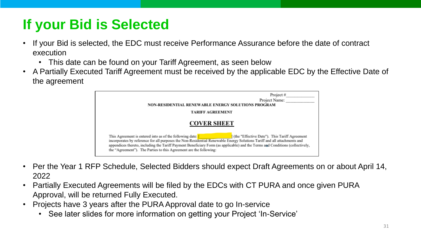## **If your Bid is Selected**

- If your Bid is selected, the EDC must receive Performance Assurance before the date of contract execution
	- This date can be found on your Tariff Agreement, as seen below
- A Partially Executed Tariff Agreement must be received by the applicable EDC by the Effective Date of the agreement



- Per the Year 1 RFP Schedule, Selected Bidders should expect Draft Agreements on or about April 14, 2022
- Partially Executed Agreements will be filed by the EDCs with CT PURA and once given PURA Approval, will be returned Fully Executed.
- Projects have 3 years after the PURA Approval date to go In-service
	- See later slides for more information on getting your Project 'In-Service'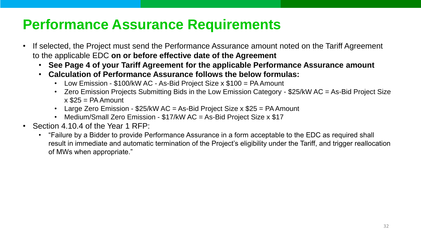### **Performance Assurance Requirements**

- If selected, the Project must send the Performance Assurance amount noted on the Tariff Agreement to the applicable EDC **on or before effective date of the Agreement**
	- **See Page 4 of your Tariff Agreement for the applicable Performance Assurance amount**
	- **Calculation of Performance Assurance follows the below formulas:**
		- Low Emission \$100/kW AC As-Bid Project Size x \$100 = PA Amount
		- Zero Emission Projects Submitting Bids in the Low Emission Category \$25/kW AC = As-Bid Project Size  $x$  \$25 = PA Amount
		- Large Zero Emission  $$25/kW$  AC = As-Bid Project Size x  $$25$  = PA Amount
		- Medium/Small Zero Emission \$17/kW AC = As-Bid Project Size x \$17
- Section 4.10.4 of the Year 1 RFP:
	- "Failure by a Bidder to provide Performance Assurance in a form acceptable to the EDC as required shall result in immediate and automatic termination of the Project's eligibility under the Tariff, and trigger reallocation of MWs when appropriate."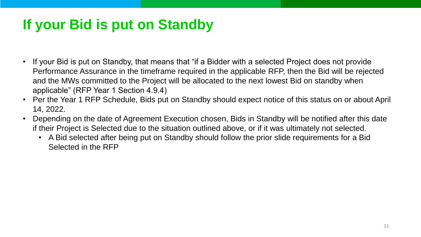## **If your Bid is put on Standby**

- If your Bid is put on Standby, that means that "if a Bidder with a selected Project does not provide Performance Assurance in the timeframe required in the applicable RFP, then the Bid will be rejected and the MWs committed to the Project will be allocated to the next lowest Bid on standby when applicable" (RFP Year 1 Section 4.9.4)
- Per the Year 1 RFP Schedule, Bids put on Standby should expect notice of this status on or about April 14, 2022.
- Depending on the date of Agreement Execution chosen, Bids in Standby will be notified after this date if their Project is Selected due to the situation outlined above, or if it was ultimately not selected.
	- A Bid selected after being put on Standby should follow the prior slide requirements for a Bid Selected in the RFP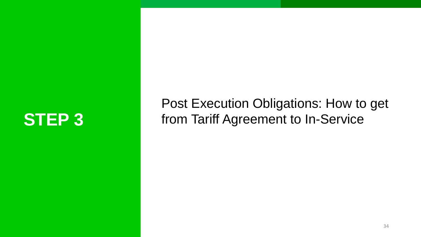Post Execution Obligations: How to get **STEP 3** from Tariff Agreement to In-Service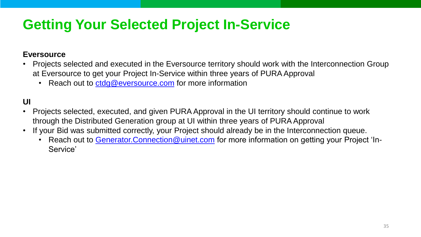## **Getting Your Selected Project In-Service**

### **Eversource**

- Projects selected and executed in the Eversource territory should work with the Interconnection Group at Eversource to get your Project In-Service within three years of PURA Approval
	- Reach out to [ctdg@eversource.com](mailto:ctdg@eversource.com) for more information

**UI**

- Projects selected, executed, and given PURA Approval in the UI territory should continue to work through the Distributed Generation group at UI within three years of PURA Approval
- If your Bid was submitted correctly, your Project should already be in the Interconnection queue.
	- Reach out to Generator. Connection @uinet.com for more information on getting your Project 'In-Service'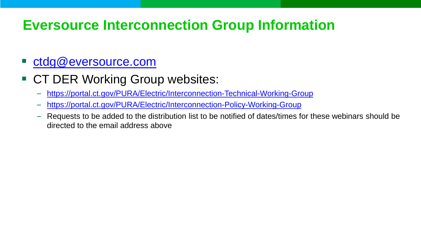### **Eversource Interconnection Group Information**

### [ctdg@eversource.com](mailto:ctdg@eversource.com)

- CT DER Working Group websites:
	- <https://portal.ct.gov/PURA/Electric/Interconnection-Technical-Working-Group>
	- <https://portal.ct.gov/PURA/Electric/Interconnection-Policy-Working-Group>
	- Requests to be added to the distribution list to be notified of dates/times for these webinars should be directed to the email address above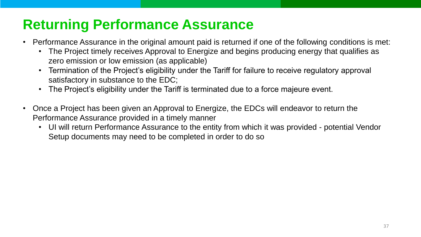## **Returning Performance Assurance**

- Performance Assurance in the original amount paid is returned if one of the following conditions is met:
	- The Project timely receives Approval to Energize and begins producing energy that qualifies as zero emission or low emission (as applicable)
	- Termination of the Project's eligibility under the Tariff for failure to receive regulatory approval satisfactory in substance to the EDC;
	- The Project's eligibility under the Tariff is terminated due to a force majeure event.
- Once a Project has been given an Approval to Energize, the EDCs will endeavor to return the Performance Assurance provided in a timely manner
	- UI will return Performance Assurance to the entity from which it was provided potential Vendor Setup documents may need to be completed in order to do so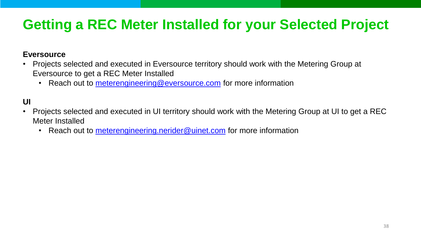## **Getting a REC Meter Installed for your Selected Project**

### **Eversource**

- Projects selected and executed in Eversource territory should work with the Metering Group at Eversource to get a REC Meter Installed
	- Reach out to [meterengineering@eversource.com](mailto:meterengineering@eversource.com) for more information

**UI**

- Projects selected and executed in UI territory should work with the Metering Group at UI to get a REC Meter Installed
	- Reach out to [meterengineering.nerider@uinet.com](mailto:meterengineering.nerider@uinet.com) for more information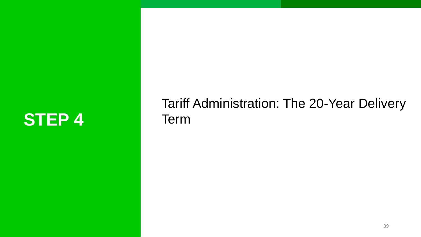## STEP 4 Term

# Tariff Administration: The 20-Year Delivery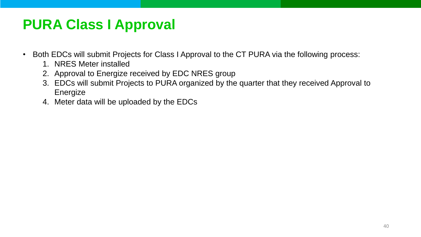## **PURA Class I Approval**

- Both EDCs will submit Projects for Class I Approval to the CT PURA via the following process:
	- 1. NRES Meter installed
	- 2. Approval to Energize received by EDC NRES group
	- 3. EDCs will submit Projects to PURA organized by the quarter that they received Approval to Energize
	- 4. Meter data will be uploaded by the EDCs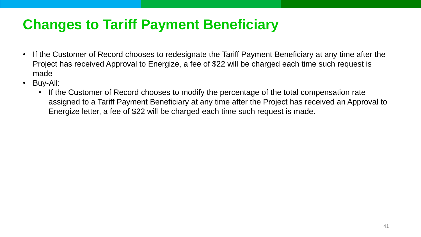## **Changes to Tariff Payment Beneficiary**

- If the Customer of Record chooses to redesignate the Tariff Payment Beneficiary at any time after the Project has received Approval to Energize, a fee of \$22 will be charged each time such request is made
- Buy-All:
	- If the Customer of Record chooses to modify the percentage of the total compensation rate assigned to a Tariff Payment Beneficiary at any time after the Project has received an Approval to Energize letter, a fee of \$22 will be charged each time such request is made.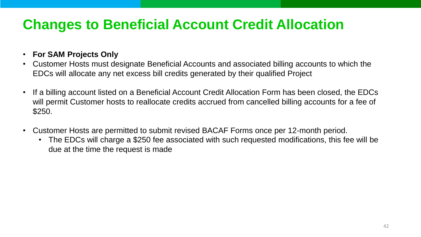## **Changes to Beneficial Account Credit Allocation**

- **For SAM Projects Only**
- Customer Hosts must designate Beneficial Accounts and associated billing accounts to which the EDCs will allocate any net excess bill credits generated by their qualified Project
- If a billing account listed on a Beneficial Account Credit Allocation Form has been closed, the EDCs will permit Customer hosts to reallocate credits accrued from cancelled billing accounts for a fee of \$250.
- Customer Hosts are permitted to submit revised BACAF Forms once per 12-month period.
	- The EDCs will charge a \$250 fee associated with such requested modifications, this fee will be due at the time the request is made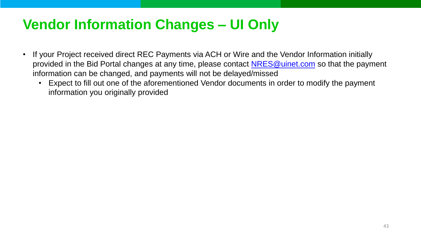## **Vendor Information Changes – UI Only**

- If your Project received direct REC Payments via ACH or Wire and the Vendor Information initially provided in the Bid Portal changes at any time, please contact [NRES@uinet.com](mailto:NRES@uinet.com) so that the payment information can be changed, and payments will not be delayed/missed
	- Expect to fill out one of the aforementioned Vendor documents in order to modify the payment information you originally provided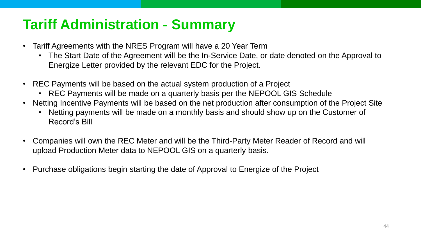## **Tariff Administration - Summary**

- Tariff Agreements with the NRES Program will have a 20 Year Term
	- The Start Date of the Agreement will be the In-Service Date, or date denoted on the Approval to Energize Letter provided by the relevant EDC for the Project.
- REC Payments will be based on the actual system production of a Project
	- REC Payments will be made on a quarterly basis per the NEPOOL GIS Schedule
- Netting Incentive Payments will be based on the net production after consumption of the Project Site
	- Netting payments will be made on a monthly basis and should show up on the Customer of Record's Bill
- Companies will own the REC Meter and will be the Third-Party Meter Reader of Record and will upload Production Meter data to NEPOOL GIS on a quarterly basis.
- Purchase obligations begin starting the date of Approval to Energize of the Project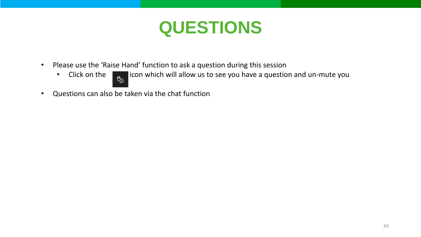## **QUESTIONS**

- Please use the 'Raise Hand' function to ask a question during this session
	-
	- Click on the  $\begin{array}{|c|c|c|c|c|}\hline \textbf{e}_\textbf{0} & \textbf{icon which will allow us to see you have a question and un-mute you} \hline \end{array}$
- Questions can also be taken via the chat function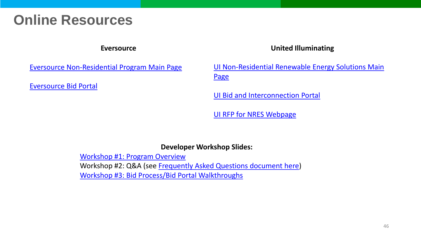### **Online Resources**

### **Eversource**

### **United Illuminating**

[Eversource Non-Residential Program Main Page](https://www.eversource.com/content/ct-c/business/save-money-energy/explore-alternatives/non-residential-renewable-energy-solutions)

[Eversource Bid Portal](https://www.eversource.com/security/account/Login?ReturnUrl=/clp/recbid/)

[UI Non-Residential Renewable Energy Solutions Main](https://www.uinet.com/wps/portal/uinet/smartenergy/innovation/distributed_generation/!ut/p/z1/vZNLc4IwFIV_SxcsmUQegkukFGl5jAoC2TAUAsYpQTHa9t83dJzBjdLpdJpdMvfcfDn3BCCQAETzM6lzRlqav_F9iqaZPPGshWJCX3cUFS6Dtee_uKEEXQnEdwumMkA_0cMby4Bj-g1AABWU7dkWpCdCMcvrLhveIMAtzkvcCfDY5B3DFHf1pwAJpe35UlCSI-vI64nhMqv7gu_zvu--ICVIZ5qiltJUFUsN5qIiqVjUK6yLsJLkoqxmUC6Lvjo2vcx2g7nhZmbgh1YSglSAkeNboWGvMv-KaXFhWvdM1oXJuWJ6vGKyB6Z4bBzovplxzzkyr7EeKWfQhg5w40x4B-9JWc4DSXc1EJ8JfgcRbbuGJ2j9OyOXkbXiN_2DpwsInsdSxr8B2R0OyOBZaynDHwwkfxo2foHUeaZXc69ythUJrVqQDEKQ3BDumyhqdLkRE7hT60b_EO1YPxoPX-GydwU!/dz/d5/L2dBISEvZ0FBIS9nQSEh/?WCM_GLOBAL_CONTEXT=%2FUINETAGR_Navigation%2FHeader%2FSmartEnergy%2FInnovation%2FDistributed_Generation)  **Page** 

[UI Bid and Interconnection Portal](https://www3.uinet.com/DistributedGeneration/)

[UI RFP for NRES Webpage](https://www.uinet.com/wps/portal/uinet/networksfooter/suppliersandpartners/power_procurement/year_10_rfp_for_lrec_and_zrec/!ut/p/z1/vVNNb9swDP0tPfjoiIliRxswDEG3NWvrrFvbJfFFUGzJ0WBLKiMn2379GPRQYB_JhgLTiaLIRz7yiZVsyUqndrZR0XqnWrqvylzyYfF2Nj6HuXg_zuDjh9tifnV9N4L5kC2OBlxmrHxOfs7_Lh_-cKbwvPoUUB6H_8xKVlYuhrhhq946HVWD8mmGCRjvo8YEtn0IrdW4Va4OCqMjM4Hg9xplQF_1qDvtYgLftEI5BIkmSONRtqgrSUnyOxmHcqGyNVsZbkDkRqWZqEU6NpM6VbwyKaxH3OSjF7zOK3Z5ij8t2H55eCinxMK7qL9GtvwfNKjuCIvzoiE6Km5S64xny19g2PI4zOIwjxMCPBpwUNipHdMQm9avH7_D1K25oK5RG40aBz2SexNj2L5MIIFO2XbQeN-0elD57tGRQJ8APb6Oav3Kd7-D2fgtkf0pm61InZOn3i8-3Qjq_V2RvZkIfnEFbLGzes_unceO2rv9R3XMgIXunk4neNburmdgb7qFiGJ_Z5qzsx9tdWa6/dz/d5/L2dBISEvZ0FBIS9nQSEh/?current=true&urile=wcm%3Apath%3A%2FUINETAGR_Navigation%2FFooter%2FSuppliersandPartners%2FPower_Procurement%2FYear_10_RFP_for_LREC_and_ZREC%2F)

### **Developer Workshop Slides:**

[Workshop #1: Program Overview](https://www.eversource.com/content/docs/default-source/save-money-energy/program-overview-non-residential-renewable-energy-solutions.pdf?sfvrsn=df35af62_2) Workshop #2: Q&A (see [Frequently Asked Questions document here](https://www.eversource.com/content/docs/default-source/save-money-energy/nres-faq.pdf?sfvrsn=cfc8af62_4)) [Workshop #3: Bid Process/Bid Portal Walkthroughs](https://www.eversource.com/content/docs/default-source/save-money-energy/nres-bid-portal-walkthrough.pdf?sfvrsn=68668162_2)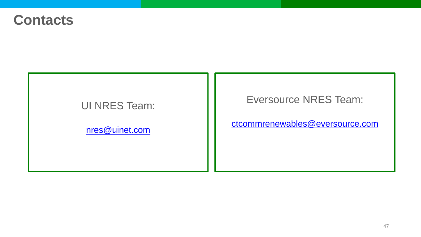### **Contacts**

### UI NRES Team:

[nres@uinet.com](mailto:nres@uinet.com)

Eversource NRES Team:

[ctcommrenewables@eversource.com](mailto:ctcommrenewables@eversource.com)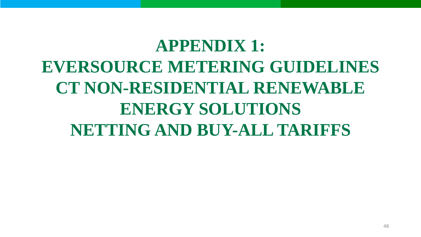## **APPENDIX 1: EVERSOURCE METERING GUIDELINES CT NON-RESIDENTIAL RENEWABLE ENERGY SOLUTIONS NETTING AND BUY-ALL TARIFFS**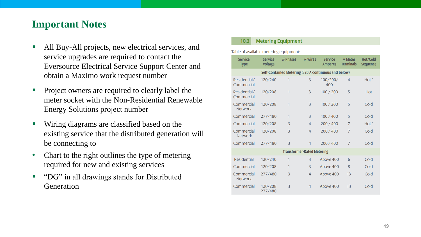### **Important Notes**

- All Buy-All projects, new electrical services, and service upgrades are required to contact the Eversource Electrical Service Support Center and obtain a Maximo work request number
- Project owners are required to clearly label the meter socket with the Non -Residential Renewable Energy Solutions project number
- Wiring diagrams are classified based on the existing service that the distributed generation will be connecting to
- Chart to the right outlines the type of metering required for new and existing services
- "DG" in all drawings stands for Distributed **Generation**

### **Metering Equipment**  $10.3$

Table of available metering equipment:

| <b>Service</b><br><b>Type</b>     | <b>Service</b><br><b>Voltage</b> | # Phases | $#$ Wires      | <b>Service</b><br><b>Amperes</b>                     | $#$ Meter<br><b>Terminals</b> | Hot/Cold<br>Sequence |
|-----------------------------------|----------------------------------|----------|----------------|------------------------------------------------------|-------------------------------|----------------------|
|                                   |                                  |          |                | Self-Contained Metering (320 A continuous and below) |                               |                      |
| Residential/<br>Commercial        | 120/240                          | 1        | 3              | 100/200/<br>400                                      | 4                             | $Hot^*$              |
| Residential/<br>Commercial        | 120/208                          | 1        | $\overline{3}$ | 100 / 200                                            | 5                             | <b>Hot</b>           |
| Commercial<br><b>Network</b>      | 120/208                          | 1        | 3              | 100 / 200                                            | 5                             | Cold                 |
| Commercial                        | 277/480                          | 1        | $\overline{3}$ | 100 / 400                                            | 5                             | Cold                 |
| Commercial                        | 120/208                          | 3        | $\overline{4}$ | 200 / 400                                            | 7                             | $Hot^*$              |
| Commercial<br><b>Network</b>      | 120/208                          | 3        | $\overline{4}$ | 200 / 400                                            | $\overline{7}$                | Cold                 |
| Commercial                        | 277/480                          | 3        | $\overline{4}$ | 200 / 400                                            | $\overline{7}$                | Cold                 |
| <b>Transformer-Rated Metering</b> |                                  |          |                |                                                      |                               |                      |
| <b>Residential</b>                | 120/240                          | 1        | 3              | Above 400                                            | 6                             | Cold                 |
| Commercial                        | 120/208                          | 1        | 3              | Above 400                                            | 8                             | Cold                 |
| Commercial<br><b>Network</b>      | 277/480                          | 3        | $\overline{4}$ | Above 400                                            | 13                            | Cold                 |
| Commercial                        | 120/208<br>277/480               | 3        | 4              | Above 400                                            | 13                            | Cold                 |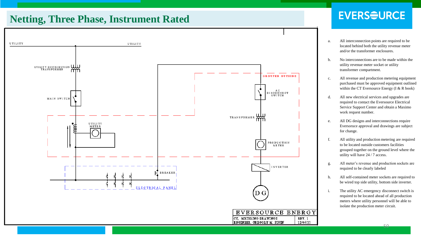### **Netting, Three Phase, Instrument Rated**



### **EVERSOURCE**

- a. All interconnection points are required to be located behind both the utility revenue meter and/or the transformer enclosures.
- b. No interconnections are to be made within the utility revenue meter socket or utility transformer compartment.
- c. All revenue and production metering equipment purchased must be approved equipment outlined within the CT Eversource Energy (I & R book)
- d. All new electrical services and upgrades are required to contact the Eversource Electrical Service Support Center and obtain a Maximo work request number.
- e. All DG designs and interconnections require Eversoruce approval and drawings are subject for change.
- f. All utility and production metering are required to be located outside customers facilities grouped together on the ground level where the utility will have 24 / 7 access.
- g. All meter's revenue and production sockets are required to be clearly labeled
- h. All self-contained meter sockets are required to be wired top side utility, bottom side inverter.
- i. The utility AC emergency disconnect switch is required to be located ahead of all production meters where utility personnel will be able to isolate the production meter circuit.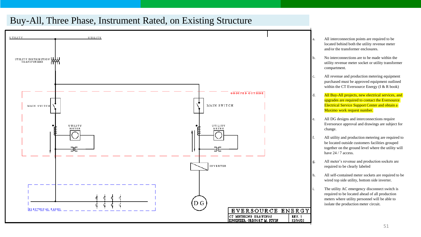### Buy-All, Three Phase, Instrument Rated, on Existing Structure



- a. All interconnection points are required to be located behind both the utility revenue meter and/or the transformer enclosures.
- b. No interconnections are to be made within the utility revenue meter socket or utility transformer compartment.
- c. All revenue and production metering equipment purchased must be approved equipment outlined within the CT Eversource Energy (I & R book)
- d. All Buy-All projects, new electrical services, and upgrades are required to contact the Eversource Electrical Service Support Center and obtain a Maximo work request number.
- e. All DG designs and interconnections require Eversoruce approval and drawings are subject for change.
- f. All utility and production metering are required to be located outside customers facilities grouped together on the ground level where the utility will have  $24/7$  access.
- g. All meter's revenue and production sockets are required to be clearly labeled
- h. All self-contained meter sockets are required to be wired top side utility, bottom side inverter.
- i. The utility AC emergency disconnect switch is required to be located ahead of all production meters where utility personnel will be able to isolate the production meter circuit.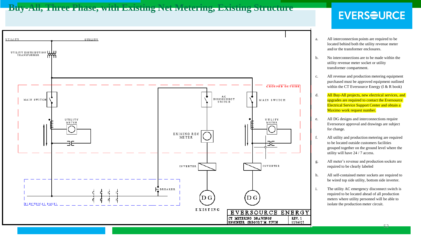### **Buy-All, Three Phase, with Existing Net Metering, Existing Structure**

### **EVERSOURCE**



- a. All interconnection points are required to be located behind both the utility revenue meter and/or the transformer enclosures.
- b. No interconnections are to be made within the utility revenue meter socket or utility transformer compartment.
- c. All revenue and production metering equipment purchased must be approved equipment outlined within the CT Eversource Energy (I & R book)
- d. All Buy-All projects, new electrical services, and upgrades are required to contact the Eversource Electrical Service Support Center and obtain a Maximo work request number.
- e. All DG designs and interconnections require Eversoruce approval and drawings are subject for change.
- f. All utility and production metering are required to be located outside customers facilities grouped together on the ground level where the utility will have 24 / 7 access.
- g. All meter's revenue and production sockets are required to be clearly labeled
- h. All self-contained meter sockets are required to be wired top side utility, bottom side inverter.
- i. The utility AC emergency disconnect switch is required to be located ahead of all production meters where utility personnel will be able to isolate the production meter circuit.